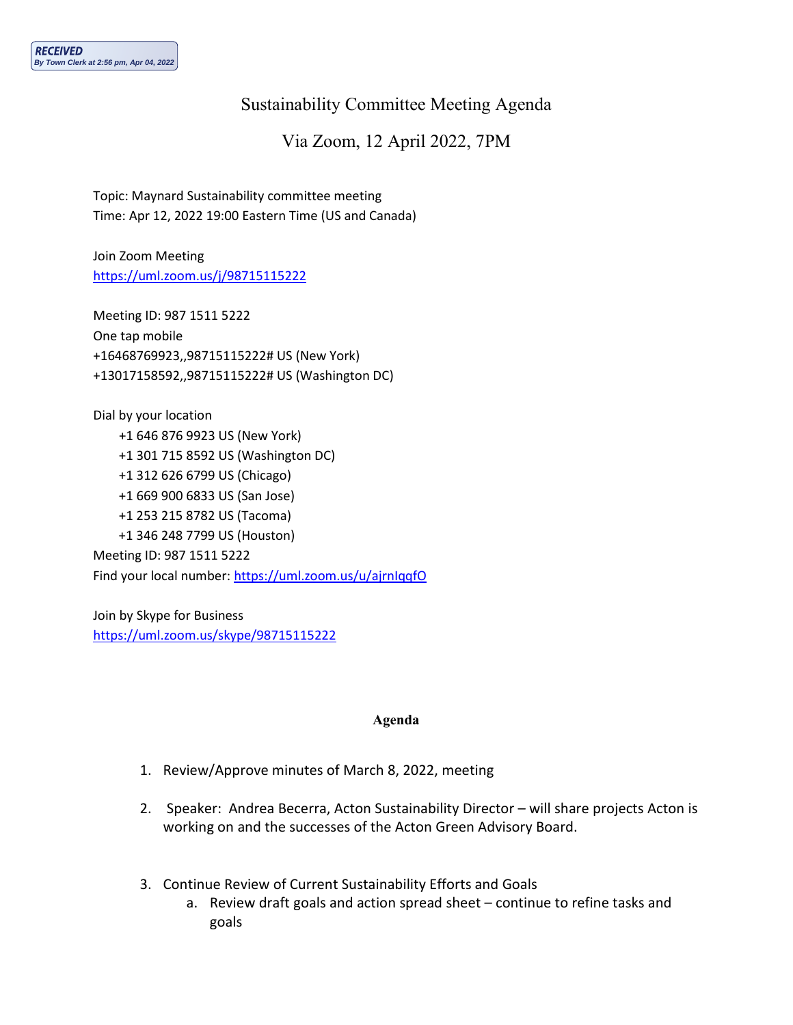## Sustainability Committee Meeting Agenda

Via Zoom, 12 April 2022, 7PM

Topic: Maynard Sustainability committee meeting Time: Apr 12, 2022 19:00 Eastern Time (US and Canada)

Join Zoom Meeting <https://uml.zoom.us/j/98715115222>

Meeting ID: 987 1511 5222 One tap mobile +16468769923,,98715115222# US (New York) +13017158592,,98715115222# US (Washington DC)

Dial by your location +1 646 876 9923 US (New York) +1 301 715 8592 US (Washington DC) +1 312 626 6799 US (Chicago) +1 669 900 6833 US (San Jose) +1 253 215 8782 US (Tacoma) +1 346 248 7799 US (Houston) Meeting ID: 987 1511 5222 Find your local number: <https://uml.zoom.us/u/ajrnIqqfO>

Join by Skype for Business <https://uml.zoom.us/skype/98715115222>

## **Agenda**

- 1. Review/Approve minutes of March 8, 2022, meeting
- 2. Speaker: Andrea Becerra, Acton Sustainability Director will share projects Acton is working on and the successes of the Acton Green Advisory Board.
- 3. Continue Review of Current Sustainability Efforts and Goals
	- a. Review draft goals and action spread sheet continue to refine tasks and goals